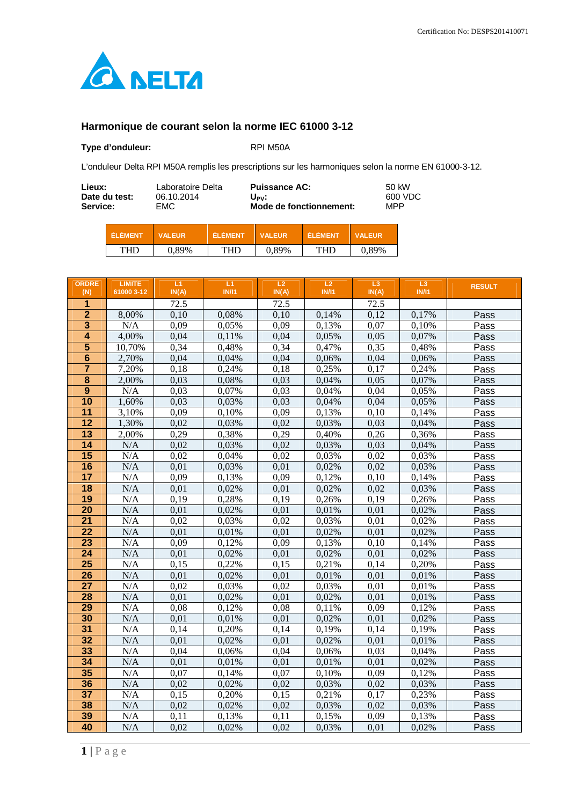

## **Harmonique de courant selon la norme IEC 61000 3-12**

## Type d'onduleur: <br>RPI M50A

L'onduleur Delta RPI M50A remplis les prescriptions sur les harmoniques selon la norme EN 61000-3-12.

| Lieux:        | Laboratoire Delta | <b>Puissance AC:</b>    | 50 kW   |
|---------------|-------------------|-------------------------|---------|
| Date du test: | 06.10.2014        | Upv:                    | 600 VDC |
| Service:      | EMC.              | Mode de fonctionnement: | MPP     |
|               |                   |                         |         |

| ÉI ÉMENT   | VAI FIIR | EI EMENT | <b>VALFUR</b> | EL EMEN' | <b>VALEUR</b> |
|------------|----------|----------|---------------|----------|---------------|
| <b>THD</b> | 0.89%    | THD      | 0.89%         | ுபுட     | 89%           |

| <b>ORDRE</b><br>(N)     | <b>LIMITE</b><br>61000 3-12 | L1<br>IN(A)  | L1<br><b>IN/I1</b> | L2<br>IN(A)  | L2<br><b>IN/I1</b> | L <sub>3</sub><br>IN(A) | L <sub>3</sub><br><b>IN/I1</b> | <b>RESULT</b> |
|-------------------------|-----------------------------|--------------|--------------------|--------------|--------------------|-------------------------|--------------------------------|---------------|
| 1                       |                             | 72.5         |                    | 72.5         |                    | 72.5                    |                                |               |
| $\overline{2}$          | 8,00%                       | 0,10         | 0,08%              | 0,10         | 0,14%              | 0,12                    | 0,17%                          | Pass          |
| $\overline{\mathbf{3}}$ | N/A                         | 0,09         | 0,05%              | 0,09         | 0,13%              | 0,07                    | 0,10%                          | Pass          |
| 4                       | 4,00%                       | 0,04         | 0,11%              | 0,04         | 0,05%              | 0,05                    | 0,07%                          | Pass          |
| 5                       | 10,70%                      | 0,34         | 0,48%              | 0,34         | 0,47%              | 0,35                    | 0,48%                          | Pass          |
| $6\phantom{1}6$         | 2,70%                       | 0,04         | 0,04%              | 0,04         | 0,06%              | 0,04                    | 0,06%                          | Pass          |
| $\overline{\mathbf{7}}$ | 7,20%                       | 0,18         | 0,24%              | 0,18         | 0,25%              | 0,17                    | 0,24%                          | Pass          |
| $\overline{\mathbf{8}}$ | 2,00%                       | 0,03         | 0,08%              | 0,03         | 0,04%              | 0,05                    | 0,07%                          | Pass          |
| $\overline{9}$          | N/A                         | 0,03         | 0,07%              | 0,03         | 0,04%              | 0.04                    | 0,05%                          | Pass          |
| 10                      | 1,60%                       | 0,03         | 0,03%              | 0,03         | 0,04%              | 0,04                    | 0,05%                          | Pass          |
| $\overline{11}$         | 3,10%                       | 0,09         | 0,10%              | 0,09         | 0,13%              | 0,10                    | 0,14%                          | Pass          |
| $\overline{12}$         | 1,30%                       | 0,02         | 0,03%              | 0,02         | 0,03%              | 0,03                    | 0,04%                          | Pass          |
| $\overline{13}$         | 2,00%                       | 0,29         | 0,38%              | 0,29         | 0,40%              | 0,26                    | 0,36%                          | Pass          |
| $\overline{14}$         | N/A                         | 0,02         | 0,03%              | 0,02         | 0,03%              | 0,03                    | 0,04%                          | Pass          |
| $\overline{15}$         | N/A                         | 0,02         | 0,04%              | 0,02         | 0,03%              | 0,02                    | 0,03%                          | Pass          |
| $\overline{16}$         | N/A                         | 0,01         | 0,03%              | 0,01         | 0,02%              | 0,02                    | 0,03%                          | Pass          |
| 17                      | N/A                         | 0,09         | 0,13%              | 0,09         | 0,12%              | 0,10                    | 0,14%                          | Pass          |
| 18                      | N/A                         | 0,01         | 0,02%              | 0,01         | 0,02%              | 0,02                    | 0,03%                          | Pass          |
| 19                      | N/A                         | 0.19         | 0,28%              | 0.19         | 0,26%              | 0,19                    | 0,26%                          | Pass          |
| $\overline{20}$         | N/A                         | 0,01         | 0,02%              | 0,01         | 0,01%              | 0,01                    | 0,02%                          | Pass          |
| $\overline{21}$         | N/A                         | 0.02         | 0,03%              | 0,02         | 0,03%              | 0,01                    | 0,02%                          | Pass          |
| $\overline{22}$         | N/A                         | 0,01         | 0,01%              | 0,01         | 0,02%              | 0,01                    | 0,02%                          | Pass          |
| $\overline{23}$         | N/A                         | 0,09         | 0,12%              | 0,09         | 0,13%              | 0,10                    | 0,14%                          | Pass          |
| $\overline{24}$         | N/A                         | 0,01         | 0,02%              | 0,01         | 0,02%              | 0,01                    | 0,02%                          | Pass          |
| $\overline{25}$         | N/A                         | 0,15         | 0,22%              | 0,15         | 0,21%              | 0,14                    | 0,20%                          | Pass          |
| $\overline{26}$         | N/A                         | 0,01         | 0,02%              | 0,01         | 0,01%              | 0,01                    | 0,01%                          | Pass          |
| $\overline{27}$         | N/A                         | 0,02         | 0,03%              | 0,02         | 0,03%              | 0,01                    | 0,01%                          | Pass          |
| $\overline{28}$         | N/A                         | 0,01         | 0,02%              | 0,01         | 0,02%              | 0,01                    | 0,01%                          | Pass          |
| 29                      | N/A                         | 0,08         | 0,12%              | 0,08         | 0,11%              | 0,09                    | 0,12%                          | Pass          |
| 30                      | N/A                         | 0,01         | 0,01%              | 0,01         | 0,02%              | 0,01                    | 0,02%                          | Pass          |
| $\overline{31}$         | N/A                         | 0,14         | 0,20%              | 0,14         | 0,19%              | 0.14                    | 0,19%                          | Pass          |
| 32                      | N/A                         | 0,01         | 0,02%              | 0.01         | 0,02%              | 0,01                    | 0,01%                          | Pass          |
| 33                      | N/A                         | 0,04         | 0,06%              | 0,04         | 0,06%              | 0,03                    | 0,04%                          | Pass          |
| $\overline{34}$         | N/A                         | 0.01         | 0,01%              | 0,01         | 0,01%              | 0,01                    | 0,02%                          | Pass          |
| 35                      | N/A                         | 0,07         | 0,14%              | 0,07         | 0,10%              | 0,09                    | 0,12%                          | Pass          |
| 36                      | N/A                         | 0,02         | 0,02%              | 0,02         | 0,03%              | 0,02                    | 0,03%                          | Pass          |
| $\overline{37}$<br>38   | N/A<br>N/A                  | 0,15<br>0,02 | 0,20%              | 0,15<br>0,02 | 0,21%              | 0,17<br>0,02            | 0,23%                          | Pass          |
|                         |                             |              | 0,02%              |              | 0,03%              |                         | 0,03%                          | Pass          |
| 39                      | N/A                         | 0,11         | 0,13%              | 0,11         | 0,15%              | 0,09                    | 0,13%                          | Pass          |
| 40                      | N/A                         | 0,02         | 0,02%              | 0,02         | 0,03%              | 0,01                    | 0,02%                          | Pass          |